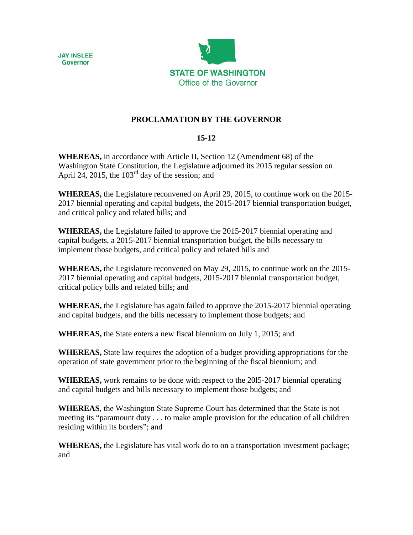



## **PROCLAMATION BY THE GOVERNOR**

## **15-12**

**WHEREAS,** in accordance with Article II, Section 12 (Amendment 68) of the Washington State Constitution, the Legislature adjourned its 2015 regular session on April 24, 2015, the  $103<sup>rd</sup>$  day of the session; and

**WHEREAS,** the Legislature reconvened on April 29, 2015, to continue work on the 2015- 2017 biennial operating and capital budgets, the 2015-2017 biennial transportation budget, and critical policy and related bills; and

**WHEREAS,** the Legislature failed to approve the 2015-2017 biennial operating and capital budgets, a 2015-2017 biennial transportation budget, the bills necessary to implement those budgets, and critical policy and related bills and

**WHEREAS,** the Legislature reconvened on May 29, 2015, to continue work on the 2015- 2017 biennial operating and capital budgets, 2015-2017 biennial transportation budget, critical policy bills and related bills; and

**WHEREAS,** the Legislature has again failed to approve the 2015-2017 biennial operating and capital budgets, and the bills necessary to implement those budgets; and

**WHEREAS,** the State enters a new fiscal biennium on July 1, 2015; and

**WHEREAS,** State law requires the adoption of a budget providing appropriations for the operation of state government prior to the beginning of the fiscal biennium; and

**WHEREAS,** work remains to be done with respect to the 20l5-2017 biennial operating and capital budgets and bills necessary to implement those budgets; and

**WHEREAS**, the Washington State Supreme Court has determined that the State is not meeting its "paramount duty . . . to make ample provision for the education of all children residing within its borders"; and

**WHEREAS,** the Legislature has vital work do to on a transportation investment package; and